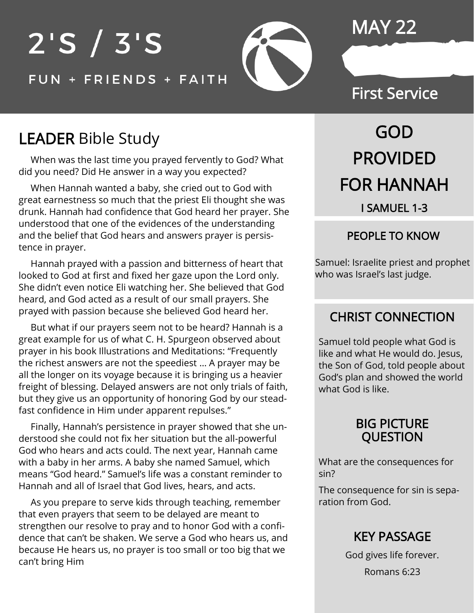# $2'S / 3'S$ FUN + FRIENDS + FAITH

## MAY 22

### First Service

### LEADER Bible Study

 When was the last time you prayed fervently to God? What did you need? Did He answer in a way you expected?

 When Hannah wanted a baby, she cried out to God with great earnestness so much that the priest Eli thought she was drunk. Hannah had confidence that God heard her prayer. She understood that one of the evidences of the understanding and the belief that God hears and answers prayer is persistence in prayer.

 Hannah prayed with a passion and bitterness of heart that looked to God at first and fixed her gaze upon the Lord only. She didn't even notice Eli watching her. She believed that God heard, and God acted as a result of our small prayers. She prayed with passion because she believed God heard her.

 But what if our prayers seem not to be heard? Hannah is a great example for us of what C. H. Spurgeon observed about prayer in his book Illustrations and Meditations: "Frequently the richest answers are not the speediest … A prayer may be all the longer on its voyage because it is bringing us a heavier freight of blessing. Delayed answers are not only trials of faith, but they give us an opportunity of honoring God by our steadfast confidence in Him under apparent repulses."

 Finally, Hannah's persistence in prayer showed that she understood she could not fix her situation but the all-powerful God who hears and acts could. The next year, Hannah came with a baby in her arms. A baby she named Samuel, which means "God heard." Samuel's life was a constant reminder to Hannah and all of Israel that God lives, hears, and acts.

 As you prepare to serve kids through teaching, remember that even prayers that seem to be delayed are meant to strengthen our resolve to pray and to honor God with a confidence that can't be shaken. We serve a God who hears us, and because He hears us, no prayer is too small or too big that we can't bring Him

# GOD PROVIDED FOR HANNAH I SAMUEL 1-3

#### PEOPLE TO KNOW

Samuel: Israelite priest and prophet who was Israel's last judge.

### CHRIST CONNECTION

Samuel told people what God is like and what He would do. Jesus, the Son of God, told people about God's plan and showed the world what God is like.

#### BIG PICTURE QUESTION

What are the consequences for sin?

The consequence for sin is separation from God.

### KEY PASSAGE

God gives life forever. Romans 6:23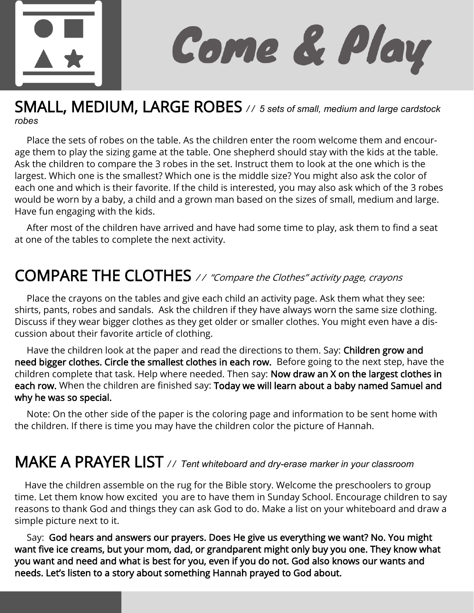

Come & Play

### SMALL, MEDIUM, LARGE ROBES */ / 5 sets of small, medium and large cardstock robes*

 Place the sets of robes on the table. As the children enter the room welcome them and encourage them to play the sizing game at the table. One shepherd should stay with the kids at the table. Ask the children to compare the 3 robes in the set. Instruct them to look at the one which is the largest. Which one is the smallest? Which one is the middle size? You might also ask the color of each one and which is their favorite. If the child is interested, you may also ask which of the 3 robes would be worn by a baby, a child and a grown man based on the sizes of small, medium and large. Have fun engaging with the kids.

 After most of the children have arrived and have had some time to play, ask them to find a seat at one of the tables to complete the next activity.

# COMPARE THE CLOTHES // "Compare the Clothes" activity page, crayons

 Place the crayons on the tables and give each child an activity page. Ask them what they see: shirts, pants, robes and sandals. Ask the children if they have always worn the same size clothing. Discuss if they wear bigger clothes as they get older or smaller clothes. You might even have a discussion about their favorite article of clothing.

Have the children look at the paper and read the directions to them. Say: Children grow and need bigger clothes. Circle the smallest clothes in each row. Before going to the next step, have the children complete that task. Help where needed. Then say: Now draw an X on the largest clothes in each row. When the children are finished say: Today we will learn about a baby named Samuel and why he was so special.

 Note: On the other side of the paper is the coloring page and information to be sent home with the children. If there is time you may have the children color the picture of Hannah.

### MAKE A PRAYER LIST */ / Tent whiteboard and dry-erase marker in your classroom*

 Have the children assemble on the rug for the Bible story. Welcome the preschoolers to group time. Let them know how excited you are to have them in Sunday School. Encourage children to say reasons to thank God and things they can ask God to do. Make a list on your whiteboard and draw a simple picture next to it.

 Say: God hears and answers our prayers. Does He give us everything we want? No. You might want five ice creams, but your mom, dad, or grandparent might only buy you one. They know what you want and need and what is best for you, even if you do not. God also knows our wants and needs. Let's listen to a story about something Hannah prayed to God about.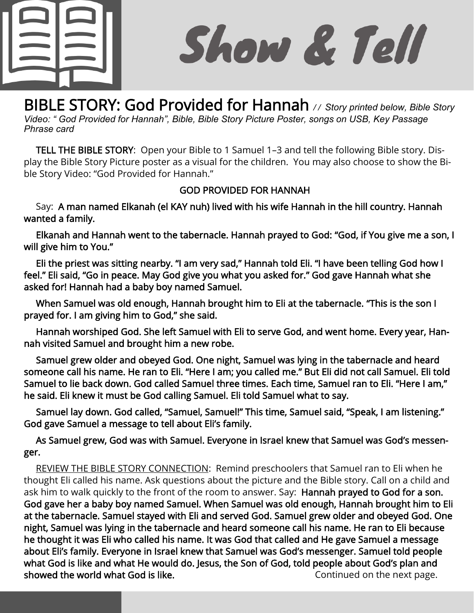

l

Show & Tell

BIBLE STORY: God Provided for Hannah // Story printed below, Bible Story *Video: " God Provided for Hannah", Bible, Bible Story Picture Poster, songs on USB, Key Passage Phrase card*

 TELL THE BIBLE STORY: Open your Bible to 1 Samuel 1–3 and tell the following Bible story. Display the Bible Story Picture poster as a visual for the children. You may also choose to show the Bible Story Video: "God Provided for Hannah."

#### GOD PROVIDED FOR HANNAH

 Say: A man named Elkanah (el KAY nuh) lived with his wife Hannah in the hill country. Hannah wanted a family.

 Elkanah and Hannah went to the tabernacle. Hannah prayed to God: "God, if You give me a son, I will give him to You."

 Eli the priest was sitting nearby. "I am very sad," Hannah told Eli. "I have been telling God how I feel." Eli said, "Go in peace. May God give you what you asked for." God gave Hannah what she asked for! Hannah had a baby boy named Samuel.

 When Samuel was old enough, Hannah brought him to Eli at the tabernacle. "This is the son I prayed for. I am giving him to God," she said.

 Hannah worshiped God. She left Samuel with Eli to serve God, and went home. Every year, Hannah visited Samuel and brought him a new robe.

 Samuel grew older and obeyed God. One night, Samuel was lying in the tabernacle and heard someone call his name. He ran to Eli. "Here I am; you called me." But Eli did not call Samuel. Eli told Samuel to lie back down. God called Samuel three times. Each time, Samuel ran to Eli. "Here I am," he said. Eli knew it must be God calling Samuel. Eli told Samuel what to say.

 Samuel lay down. God called, "Samuel, Samuel!" This time, Samuel said, "Speak, I am listening." God gave Samuel a message to tell about Eli's family.

 As Samuel grew, God was with Samuel. Everyone in Israel knew that Samuel was God's messenger.

 REVIEW THE BIBLE STORY CONNECTION: Remind preschoolers that Samuel ran to Eli when he thought Eli called his name. Ask questions about the picture and the Bible story. Call on a child and ask him to walk quickly to the front of the room to answer. Say: Hannah prayed to God for a son. God gave her a baby boy named Samuel. When Samuel was old enough, Hannah brought him to Eli at the tabernacle. Samuel stayed with Eli and served God. Samuel grew older and obeyed God. One night, Samuel was lying in the tabernacle and heard someone call his name. He ran to Eli because he thought it was Eli who called his name. It was God that called and He gave Samuel a message about Eli's family. Everyone in Israel knew that Samuel was God's messenger. Samuel told people what God is like and what He would do. Jesus, the Son of God, told people about God's plan and showed the world what God is like. The state of the next page.